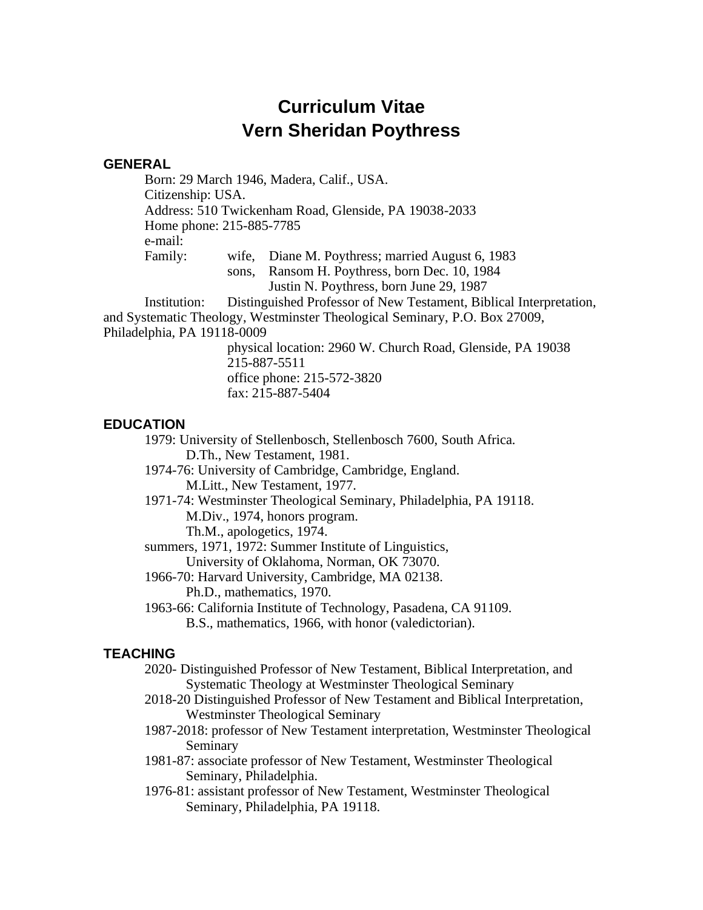# **Curriculum Vitae Vern Sheridan Poythress**

## **GENERAL**

Born: 29 March 1946, Madera, Calif., USA. Citizenship: USA. Address: 510 Twickenham Road, Glenside, PA 19038-2033 Home phone: 215-885-7785 e-mail: Family: wife, Diane M. Poythress; married August 6, 1983 sons, Ransom H. Poythress, born Dec. 10, 1984

Justin N. Poythress, born June 29, 1987

Institution: Distinguished Professor of New Testament, Biblical Interpretation, and Systematic Theology, Westminster Theological Seminary, P.O. Box 27009, Philadelphia, PA 19118-0009

> physical location: 2960 W. Church Road, Glenside, PA 19038 215-887-5511 office phone: 215-572-3820 fax: 215-887-5404

# **EDUCATION**

1979: University of Stellenbosch, Stellenbosch 7600, South Africa. D.Th., New Testament, 1981.

- 1974-76: University of Cambridge, Cambridge, England. M.Litt., New Testament, 1977.
- 1971-74: Westminster Theological Seminary, Philadelphia, PA 19118. M.Div., 1974, honors program.

Th.M., apologetics, 1974.

- summers, 1971, 1972: Summer Institute of Linguistics,
	- University of Oklahoma, Norman, OK 73070.
- 1966-70: Harvard University, Cambridge, MA 02138. Ph.D., mathematics, 1970.
- 1963-66: California Institute of Technology, Pasadena, CA 91109. B.S., mathematics, 1966, with honor (valedictorian).

# **TEACHING**

- 2020- Distinguished Professor of New Testament, Biblical Interpretation, and Systematic Theology at Westminster Theological Seminary
- 2018-20 Distinguished Professor of New Testament and Biblical Interpretation, Westminster Theological Seminary
- 1987-2018: professor of New Testament interpretation, Westminster Theological Seminary
- 1981-87: associate professor of New Testament, Westminster Theological Seminary, Philadelphia.
- 1976-81: assistant professor of New Testament, Westminster Theological Seminary, Philadelphia, PA 19118.